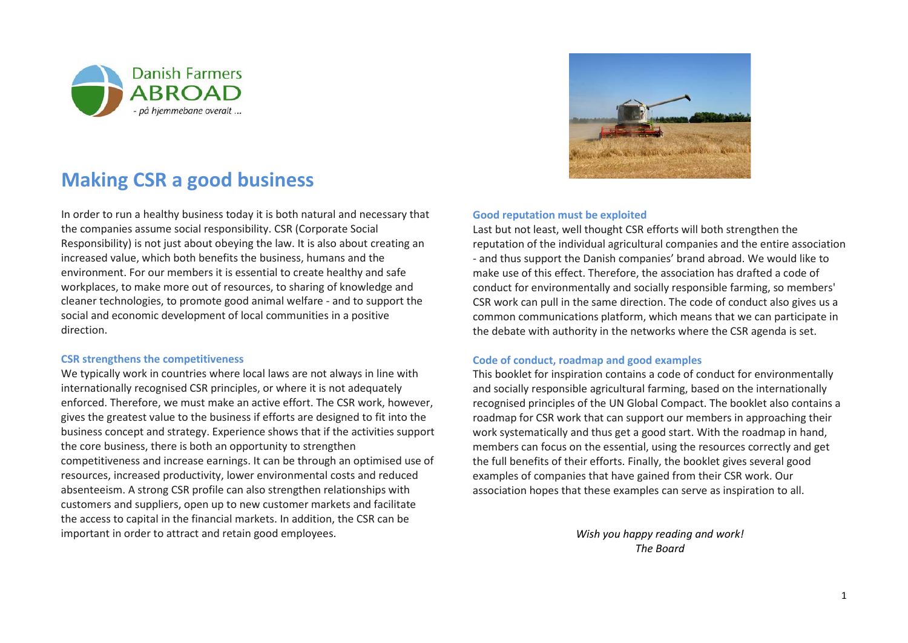



## **Making CSR a good business**

In order to run a healthy business today it is both natural and necessary that the companies assume social responsibility. CSR (Corporate Social Responsibility) is not just about obeying the law. It is also about creating an increased value, which both benefits the business, humans and the environment. For our members it is essential to create healthy and safe workplaces, to make more out of resources, to sharing of knowledge and cleaner technologies, to promote good animal welfare - and to support the social and economic development of local communities in a positive direction.

### **CSR strengthens the competitiveness**

We typically work in countries where local laws are not always in line with internationally recognised CSR principles, or where it is not adequately enforced. Therefore, we must make an active effort. The CSR work, however, gives the greatest value to the business if efforts are designed to fit into the business concept and strategy. Experience shows that if the activities support the core business, there is both an opportunity to strengthen competitiveness and increase earnings. It can be through an optimised use of resources, increased productivity, lower environmental costs and reduced absenteeism. A strong CSR profile can also strengthen relationships with customers and suppliers, open up to new customer markets and facilitate the access to capital in the financial markets. In addition, the CSR can be important in order to attract and retain good employees.

#### **Good reputation must be exploited**

Last but not least, well thought CSR efforts will both strengthen the reputation of the individual agricultural companies and the entire association - and thus support the Danish companies' brand abroad. We would like to make use of this effect. Therefore, the association has drafted a code of conduct for environmentally and socially responsible farming, so members' CSR work can pull in the same direction. The code of conduct also gives us a common communications platform, which means that we can participate in the debate with authority in the networks where the CSR agenda is set.

#### **Code of conduct, roadmap and good examples**

This booklet for inspiration contains a code of conduct for environmentally and socially responsible agricultural farming, based on the internationally recognised principles of the UN Global Compact. The booklet also contains a roadmap for CSR work that can support our members in approaching their work systematically and thus get a good start. With the roadmap in hand, members can focus on the essential, using the resources correctly and get the full benefits of their efforts. Finally, the booklet gives several good examples of companies that have gained from their CSR work. Our association hopes that these examples can serve as inspiration to all.

> *Wish you happy reading and work! The Board*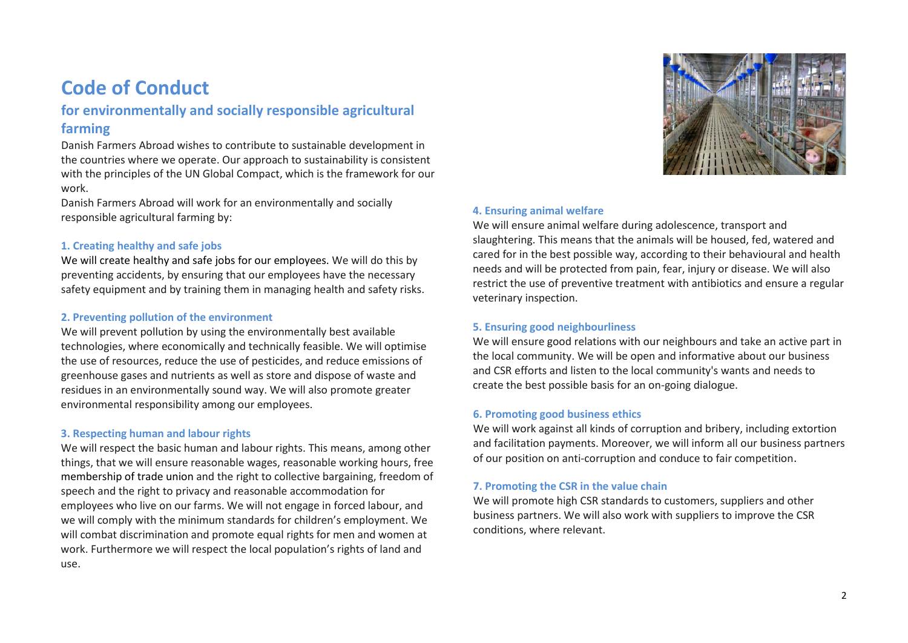## **Code of Conduct**

## **for environmentally and socially responsible agricultural farming**

Danish Farmers Abroad wishes to contribute to sustainable development in the countries where we operate. Our approach to sustainability is consistent with the principles of the UN Global Compact, which is the framework for our work.

Danish Farmers Abroad will work for an environmentally and socially responsible agricultural farming by:

### **1. Creating healthy and safe jobs**

We will create healthy and safe jobs for our employees. We will do this by preventing accidents, by ensuring that our employees have the necessary safety equipment and by training them in managing health and safety risks.

### **2. Preventing pollution of the environment**

We will prevent pollution by using the environmentally best available technologies, where economically and technically feasible. We will optimise the use of resources, reduce the use of pesticides, and reduce emissions of greenhouse gases and nutrients as well as store and dispose of waste and residues in an environmentally sound way. We will also promote greater environmental responsibility among our employees.

### **3. Respecting human and labour rights**

We will respect the basic human and labour rights. This means, among other things, that we will ensure reasonable wages, reasonable working hours, free membership of trade union and the right to collective bargaining, freedom of speech and the right to privacy and reasonable accommodation for employees who live on our farms. We will not engage in forced labour, and we will comply with the minimum standards for children's employment. We will combat discrimination and promote equal rights for men and women at work. Furthermore we will respect the local population's rights of land and use.



### **4. Ensuring animal welfare**

We will ensure animal welfare during adolescence, transport and slaughtering. This means that the animals will be housed, fed, watered and cared for in the best possible way, according to their behavioural and health needs and will be protected from pain, fear, injury or disease. We will also restrict the use of preventive treatment with antibiotics and ensure a regular veterinary inspection.

### **5. Ensuring good neighbourliness**

We will ensure good relations with our neighbours and take an active part in the local community. We will be open and informative about our business and CSR efforts and listen to the local community's wants and needs to create the best possible basis for an on-going dialogue.

### **6. Promoting good business ethics**

We will work against all kinds of corruption and bribery, including extortion and facilitation payments. Moreover, we will inform all our business partners of our position on anti-corruption and conduce to fair competition.

### **7. Promoting the CSR in the value chain**

We will promote high CSR standards to customers, suppliers and other business partners. We will also work with suppliers to improve the CSR conditions, where relevant.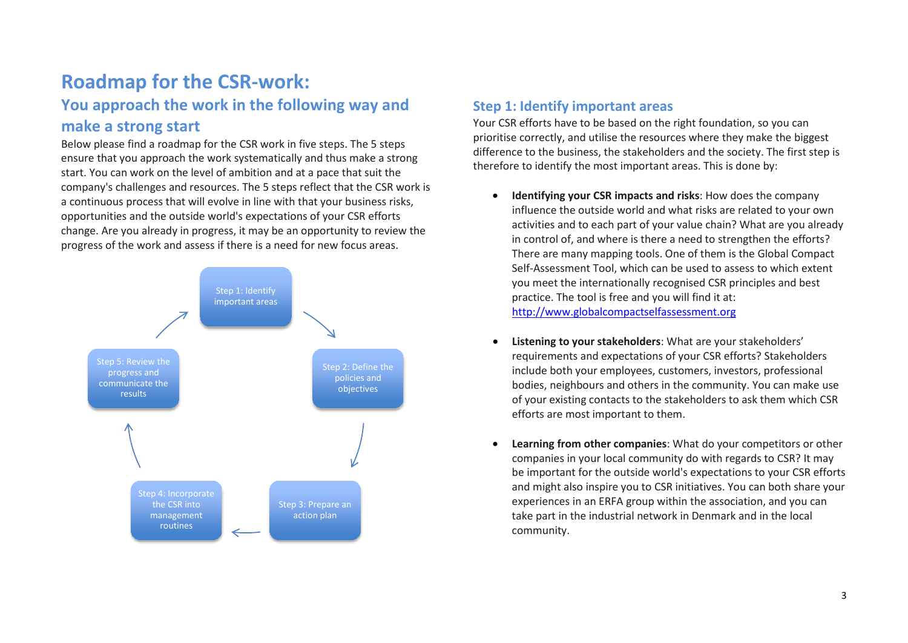# **Roadmap for the CSR-work:**

## **You approach the work in the following way and make a strong start**

Below please find a roadmap for the CSR work in five steps. The 5 steps ensure that you approach the work systematically and thus make a strong start. You can work on the level of ambition and at a pace that suit the company's challenges and resources. The 5 steps reflect that the CSR work is a continuous process that will evolve in line with that your business risks, opportunities and the outside world's expectations of your CSR efforts change. Are you already in progress, it may be an opportunity to review the progress of the work and assess if there is a need for new focus areas.



## **Step 1: Identify important areas**

Your CSR efforts have to be based on the right foundation, so you can prioritise correctly, and utilise the resources where they make the biggest difference to the business, the stakeholders and the society. The first step is therefore to identify the most important areas. This is done by:

- **Identifying your CSR impacts and risks**: How does the company influence the outside world and what risks are related to your own activities and to each part of your value chain? What are you already in control of, and where is there a need to strengthen the efforts? There are many mapping tools. One of them is the Global Compact Self-Assessment Tool, which can be used to assess to which extent you meet the internationally recognised CSR principles and best practice. The tool is free and you will find it at: [http://www.globalcompactselfassessment.org](http://www.globalcompactselfassessment.org/)
- **Listening to your stakeholders**: What are your stakeholders' requirements and expectations of your CSR efforts? Stakeholders include both your employees, customers, investors, professional bodies, neighbours and others in the community. You can make use of your existing contacts to the stakeholders to ask them which CSR efforts are most important to them.
- **Learning from other companies**: What do your competitors or other companies in your local community do with regards to CSR? It may be important for the outside world's expectations to your CSR efforts and might also inspire you to CSR initiatives. You can both share your experiences in an ERFA group within the association, and you can take part in the industrial network in Denmark and in the local community.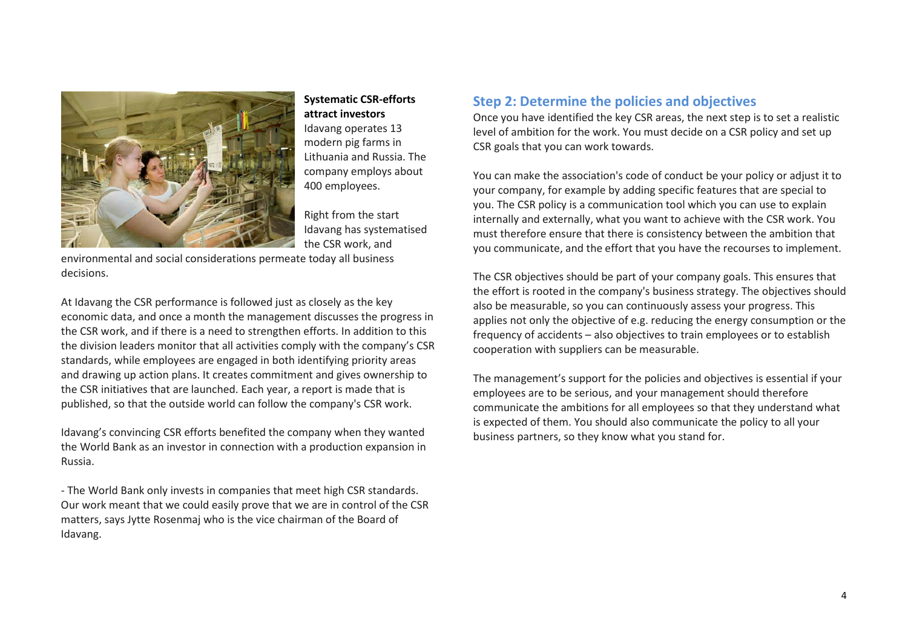

### **Systematic CSR-efforts attract investors** Idavang operates 13 modern pig farms in Lithuania and Russia. The

company employs about 400 employees.

Right from the start Idavang has systematised the CSR work, and

environmental and social considerations permeate today all business decisions.

At Idavang the CSR performance is followed just as closely as the key economic data, and once a month the management discusses the progress in the CSR work, and if there is a need to strengthen efforts. In addition to this the division leaders monitor that all activities comply with the company's CSR standards, while employees are engaged in both identifying priority areas and drawing up action plans. It creates commitment and gives ownership to the CSR initiatives that are launched. Each year, a report is made that is published, so that the outside world can follow the company's CSR work.

Idavang's convincing CSR efforts benefited the company when they wanted the World Bank as an investor in connection with a production expansion in Russia.

- The World Bank only invests in companies that meet high CSR standards. Our work meant that we could easily prove that we are in control of the CSR matters, says Jytte Rosenmaj who is the vice chairman of the Board of Idavang.

## **Step 2: Determine the policies and objectives**

Once you have identified the key CSR areas, the next step is to set a realistic level of ambition for the work. You must decide on a CSR policy and set up CSR goals that you can work towards.

You can make the association's code of conduct be your policy or adjust it to your company, for example by adding specific features that are special to you. The CSR policy is a communication tool which you can use to explain internally and externally, what you want to achieve with the CSR work. You must therefore ensure that there is consistency between the ambition that you communicate, and the effort that you have the recourses to implement.

The CSR objectives should be part of your company goals. This ensures that the effort is rooted in the company's business strategy. The objectives should also be measurable, so you can continuously assess your progress. This applies not only the objective of e.g. reducing the energy consumption or the frequency of accidents – also objectives to train employees or to establish cooperation with suppliers can be measurable.

The management's support for the policies and objectives is essential if your employees are to be serious, and your management should therefore communicate the ambitions for all employees so that they understand what is expected of them. You should also communicate the policy to all your business partners, so they know what you stand for.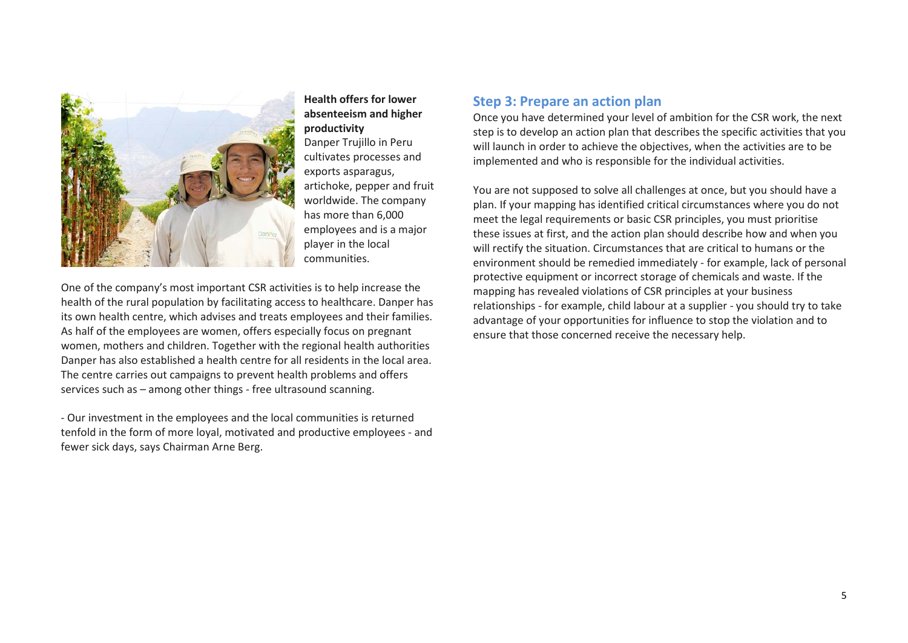

### **Health offers for lower absenteeism and higher productivity**

Danper Trujillo in Peru cultivates processes and exports asparagus, artichoke, pepper and fruit worldwide. The company has more than 6,000 employees and is a major player in the local communities.

One of the company's most important CSR activities is to help increase the health of the rural population by facilitating access to healthcare. Danper has its own health centre, which advises and treats employees and their families. As half of the employees are women, offers especially focus on pregnant women, mothers and children. Together with the regional health authorities Danper has also established a health centre for all residents in the local area. The centre carries out campaigns to prevent health problems and offers services such as – among other things - free ultrasound scanning.

- Our investment in the employees and the local communities is returned tenfold in the form of more loyal, motivated and productive employees - and fewer sick days, says Chairman Arne Berg.

### **Step 3: Prepare an action plan**

Once you have determined your level of ambition for the CSR work, the next step is to develop an action plan that describes the specific activities that you will launch in order to achieve the objectives, when the activities are to be implemented and who is responsible for the individual activities.

You are not supposed to solve all challenges at once, but you should have a plan. If your mapping has identified critical circumstances where you do not meet the legal requirements or basic CSR principles, you must prioritise these issues at first, and the action plan should describe how and when you will rectify the situation. Circumstances that are critical to humans or the environment should be remedied immediately - for example, lack of personal protective equipment or incorrect storage of chemicals and waste. If the mapping has revealed violations of CSR principles at your business relationships - for example, child labour at a supplier - you should try to take advantage of your opportunities for influence to stop the violation and to ensure that those concerned receive the necessary help.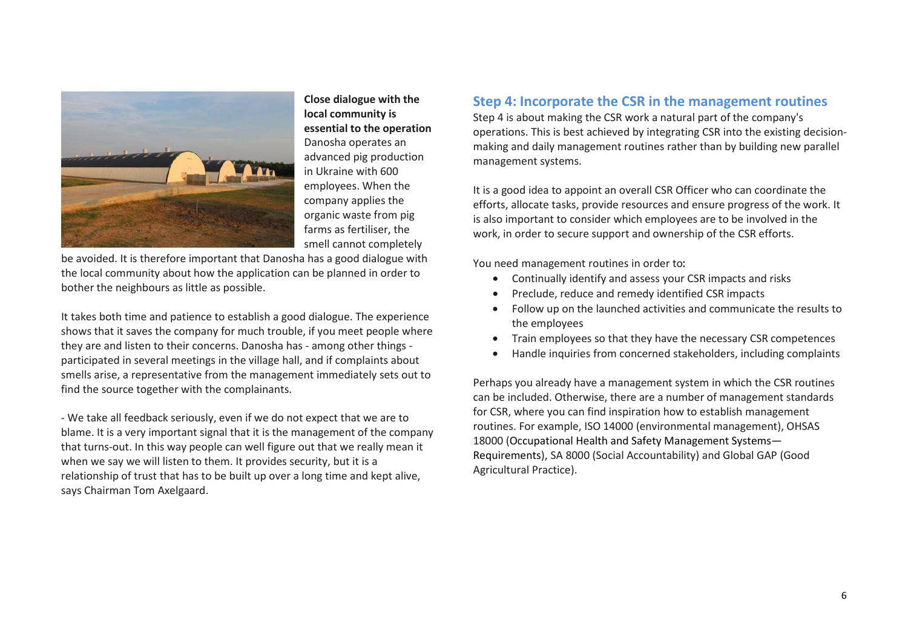

**Close dialogue with the local community is essential to the operation** Danosha operates an advanced pig production in Ukraine with 600 employees. When the company applies the organic waste from pig farms as fertiliser, the smell cannot completely

be avoided. It is therefore important that Danosha has a good dialogue with the local community about how the application can be planned in order to bother the neighbours as little as possible.

It takes both time and patience to establish a good dialogue. The experience shows that it saves the company for much trouble, if you meet people where they are and listen to their concerns. Danosha has - among other things participated in several meetings in the village hall, and if complaints about smells arise, a representative from the management immediately sets out to find the source together with the complainants.

- We take all feedback seriously, even if we do not expect that we are to blame. It is a very important signal that it is the management of the company that turns-out. In this way people can well figure out that we really mean it when we say we will listen to them. It provides security, but it is a relationship of trust that has to be built up over a long time and kept alive, says Chairman Tom Axelgaard.

## **Step 4: Incorporate the CSR in the management routines**

Step 4 is about making the CSR work a natural part of the company's operations. This is best achieved by integrating CSR into the existing decisionmaking and daily management routines rather than by building new parallel management systems.

It is a good idea to appoint an overall CSR Officer who can coordinate the efforts, allocate tasks, provide resources and ensure progress of the work. It is also important to consider which employees are to be involved in the work, in order to secure support and ownership of the CSR efforts.

You need management routines in order to:

- Continually identify and assess your CSR impacts and risks
- Preclude, reduce and remedy identified CSR impacts
- Follow up on the launched activities and communicate the results to the employees
- Train employees so that they have the necessary CSR competences
- Handle inquiries from concerned stakeholders, including complaints

Perhaps you already have a management system in which the CSR routines can be included. Otherwise, there are a number of management standards for CSR, where you can find inspiration how to establish management routines. For example, ISO 14000 (environmental management), OHSAS 18000 (Occupational Health and Safety Management Systems— Requirements), SA 8000 (Social Accountability) and Global GAP (Good Agricultural Practice).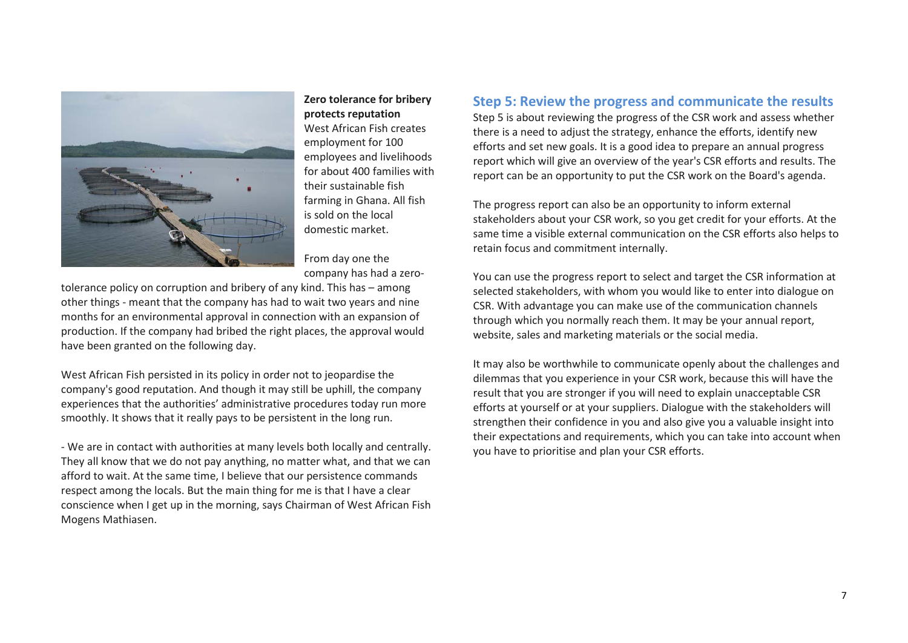

### **Zero tolerance for bribery protects reputation** West African Fish creates employment for 100 employees and livelihoods for about 400 families with their sustainable fish farming in Ghana. All fish is sold on the local domestic market.

From day one the company has had a zero-

tolerance policy on corruption and bribery of any kind. This has – among other things - meant that the company has had to wait two years and nine months for an environmental approval in connection with an expansion of production. If the company had bribed the right places, the approval would have been granted on the following day.

West African Fish persisted in its policy in order not to jeopardise the company's good reputation. And though it may still be uphill, the company experiences that the authorities' administrative procedures today run more smoothly. It shows that it really pays to be persistent in the long run.

- We are in contact with authorities at many levels both locally and centrally. They all know that we do not pay anything, no matter what, and that we can afford to wait. At the same time, I believe that our persistence commands respect among the locals. But the main thing for me is that I have a clear conscience when I get up in the morning, says Chairman of West African Fish Mogens Mathiasen.

## **Step 5: Review the progress and communicate the results**

Step 5 is about reviewing the progress of the CSR work and assess whether there is a need to adjust the strategy, enhance the efforts, identify new efforts and set new goals. It is a good idea to prepare an annual progress report which will give an overview of the year's CSR efforts and results. The report can be an opportunity to put the CSR work on the Board's agenda.

The progress report can also be an opportunity to inform external stakeholders about your CSR work, so you get credit for your efforts. At the same time a visible external communication on the CSR efforts also helps to retain focus and commitment internally.

You can use the progress report to select and target the CSR information at selected stakeholders, with whom you would like to enter into dialogue on CSR. With advantage you can make use of the communication channels through which you normally reach them. It may be your annual report, website, sales and marketing materials or the social media.

It may also be worthwhile to communicate openly about the challenges and dilemmas that you experience in your CSR work, because this will have the result that you are stronger if you will need to explain unacceptable CSR efforts at yourself or at your suppliers. Dialogue with the stakeholders will strengthen their confidence in you and also give you a valuable insight into their expectations and requirements, which you can take into account when you have to prioritise and plan your CSR efforts.